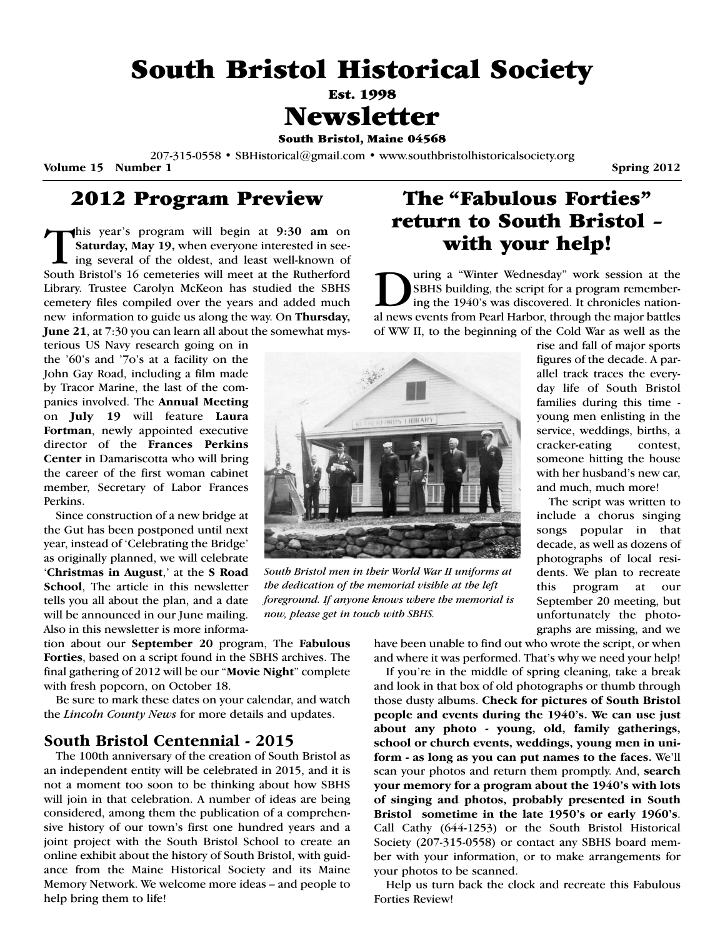# **South Bristol Historical Society**

**Est. 1998**

# **Newsletter**

**South Bristol, Maine 04568** 

207-315-0558 • SBHistorical@gmail.com • www.southbristolhistoricalsociety.org

**Volume 15 Number 1** Spring 2012

### **2012 Program Preview**

**This year's program will begin at 9:30 am on**<br>**Saturday, May 19, when everyone interested in see-<br>ing several of the oldest, and least well-known of<br>South Bristol's 16 cemeteries will meet at the Butherford Saturday, May 19,** when everyone interested in seeing several of the oldest, and least well-known of South Bristol's 16 cemeteries will meet at the Rutherford Library. Trustee Carolyn McKeon has studied the SBHS cemetery files compiled over the years and added much new information to guide us along the way. On **Thursday, June 21**, at 7:30 you can learn all about the somewhat mys-

terious US Navy research going on in the '60's and '7o's at a facility on the John Gay Road, including a film made by Tracor Marine, the last of the companies involved. The **Annual Meeting** on **July 19** will feature **Laura Fortman**, newly appointed executive director of the **Frances Perkins Center** in Damariscotta who will bring the career of the first woman cabinet member, Secretary of Labor Frances Perkins.

Since construction of a new bridge at the Gut has been postponed until next year, instead of 'Celebrating the Bridge' as originally planned, we will celebrate '**Christmas in August**,' at the **S Road School**, The article in this newsletter tells you all about the plan, and a date will be announced in our June mailing. Also in this newsletter is more informa-

tion about our **September 20** program, The **Fabulous Forties**, based on a script found in the SBHS archives. The final gathering of 2012 will be our "**Movie Night**" complete with fresh popcorn, on October 18.

Be sure to mark these dates on your calendar, and watch the *Lincoln County News* for more details and updates.

### **South Bristol Centennial - 2015**

The 100th anniversary of the creation of South Bristol as an independent entity will be celebrated in 2015, and it is not a moment too soon to be thinking about how SBHS will join in that celebration. A number of ideas are being considered, among them the publication of a comprehensive history of our town's first one hundred years and a joint project with the South Bristol School to create an online exhibit about the history of South Bristol, with guidance from the Maine Historical Society and its Maine Memory Network. We welcome more ideas – and people to help bring them to life!

## **The "Fabulous Forties" return to South Bristol – with your help!**

uring a "Winter Wednesday" work session at the SBHS building, the script for a program remembering the 1940's was discovered. It chronicles national news events from Pearl Harbor, through the major battles of WW II, to the beginning of the Cold War as well as the



*South Bristol men in their World War II uniforms at the dedication of the memorial visible at the left foreground. If anyone knows where the memorial is now, please get in touch with SBHS.*

rise and fall of major sports figures of the decade. A parallel track traces the everyday life of South Bristol families during this time young men enlisting in the service, weddings, births, a cracker-eating contest, someone hitting the house with her husband's new car, and much, much more!

The script was written to include a chorus singing songs popular in that decade, as well as dozens of photographs of local residents. We plan to recreate this program at our September 20 meeting, but unfortunately the photographs are missing, and we

have been unable to find out who wrote the script, or when and where it was performed. That's why we need your help!

If you're in the middle of spring cleaning, take a break and look in that box of old photographs or thumb through those dusty albums. **Check for pictures of South Bristol people and events during the 1940's. We can use just about any photo - young, old, family gatherings, school or church events, weddings, young men in uniform - as long as you can put names to the faces.** We'll scan your photos and return them promptly. And, **search your memory for a program about the 1940's with lots of singing and photos, probably presented in South Bristol sometime in the late 1950's or early 1960's**. Call Cathy (644-1253) or the South Bristol Historical Society (207-315-0558) or contact any SBHS board member with your information, or to make arrangements for your photos to be scanned.

Help us turn back the clock and recreate this Fabulous Forties Review!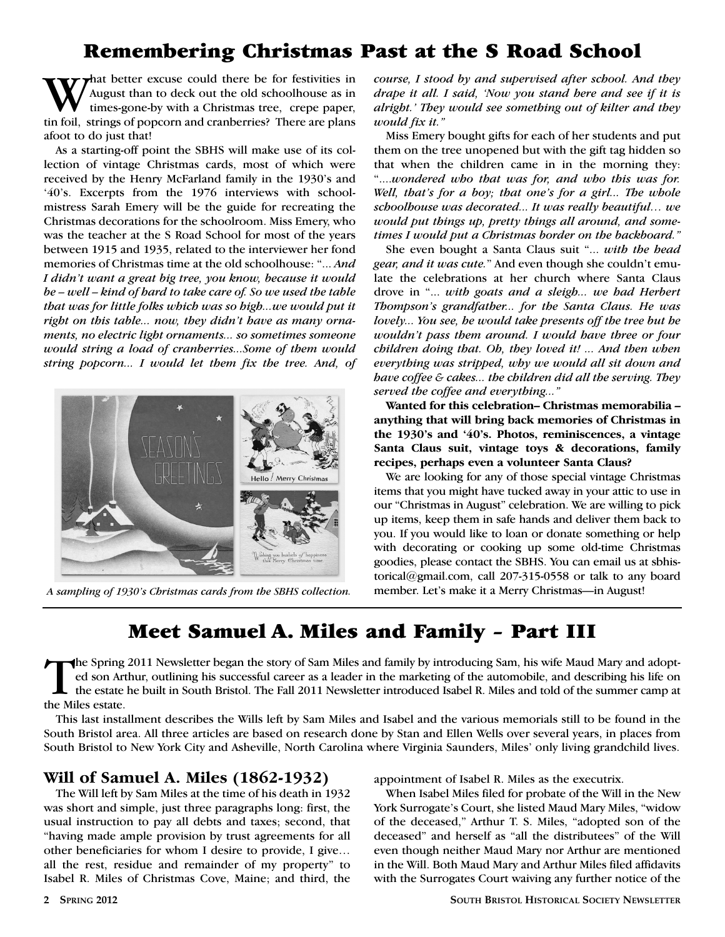# **Remembering Christmas Past at the S Road School**

That better excuse could there be for festivities in August than to deck out the old schoolhouse as in times-gone-by with a Christmas tree, crepe paper, tin foil, strings of popcorn and cranberries? There are plans afoot to do just that!

As a starting-off point the SBHS will make use of its collection of vintage Christmas cards, most of which were received by the Henry McFarland family in the 1930's and '40's. Excerpts from the 1976 interviews with schoolmistress Sarah Emery will be the guide for recreating the Christmas decorations for the schoolroom. Miss Emery, who was the teacher at the S Road School for most of the years between 1915 and 1935, related to the interviewer her fond memories of Christmas time at the old schoolhouse: "... *And I didn't want a great big tree, you know, because it would be – well – kind of hard to take care of. So we used the table that was for little folks which was so high...we would put it right on this table... now, they didn't have as many ornaments, no electric light ornaments... so sometimes someone would string a load of cranberries...Some of them would string popcorn... I would let them fix the tree. And, of*



*A sampling of 1930's Christmas cards from the SBHS collection.* member. Let's make it a Merry Christmas—in August!

*course, I stood by and supervised after school. And they drape it all. I said, 'Now you stand here and see if it is alright.' They would see something out of kilter and they would fix it."*

Miss Emery bought gifts for each of her students and put them on the tree unopened but with the gift tag hidden so that when the children came in in the morning they: "....*wondered who that was for, and who this was for. Well, that's for a boy; that one's for a girl... The whole schoolhouse was decorated... It was really beautiful… we would put things up, pretty things all around, and sometimes I would put a Christmas border on the backboard."*

She even bought a Santa Claus suit "... *with the head gear, and it was cute.*" And even though she couldn't emulate the celebrations at her church where Santa Claus drove in "... *with goats and a sleigh... we had Herbert Thompson's grandfather... for the Santa Claus. He was lovely... You see, he would take presents off the tree but he wouldn't pass them around. I would have three or four children doing that. Oh, they loved it! ... And then when everything was stripped, why we would all sit down and have coffee & cakes... the children did all the serving. They served the coffee and everything..."*

**Wanted for this celebration– Christmas memorabilia – anything that will bring back memories of Christmas in the 1930's and '40's. Photos, reminiscences, a vintage Santa Claus suit, vintage toys & decorations, family recipes, perhaps even a volunteer Santa Claus?**

We are looking for any of those special vintage Christmas items that you might have tucked away in your attic to use in our "Christmas in August" celebration. We are willing to pick up items, keep them in safe hands and deliver them back to you. If you would like to loan or donate something or help with decorating or cooking up some old-time Christmas goodies, please contact the SBHS. You can email us at sbhistorical@gmail.com, call 207-315-0558 or talk to any board

## **Meet Samuel A. Miles and Family – Part III**

The Spring 2011 Newsletter began the story of Sam Miles and family by introducing Sam, his wife Maud Mary and adopted son Arthur, outlining his successful career as a leader in the marketing of the automobile, and describing his life on the estate he built in South Bristol. The Fall 2011 Newsletter introduced Isabel R. Miles and told of the summer camp at the Miles estate.

This last installment describes the Wills left by Sam Miles and Isabel and the various memorials still to be found in the South Bristol area. All three articles are based on research done by Stan and Ellen Wells over several years, in places from South Bristol to New York City and Asheville, North Carolina where Virginia Saunders, Miles' only living grandchild lives.

### **Will of Samuel A. Miles (1862-1932)**

The Will left by Sam Miles at the time of his death in 1932 was short and simple, just three paragraphs long: first, the usual instruction to pay all debts and taxes; second, that "having made ample provision by trust agreements for all other beneficiaries for whom I desire to provide, I give… all the rest, residue and remainder of my property" to Isabel R. Miles of Christmas Cove, Maine; and third, the appointment of Isabel R. Miles as the executrix.

When Isabel Miles filed for probate of the Will in the New York Surrogate's Court, she listed Maud Mary Miles, "widow of the deceased," Arthur T. S. Miles, "adopted son of the deceased" and herself as "all the distributees" of the Will even though neither Maud Mary nor Arthur are mentioned in the Will. Both Maud Mary and Arthur Miles filed affidavits with the Surrogates Court waiving any further notice of the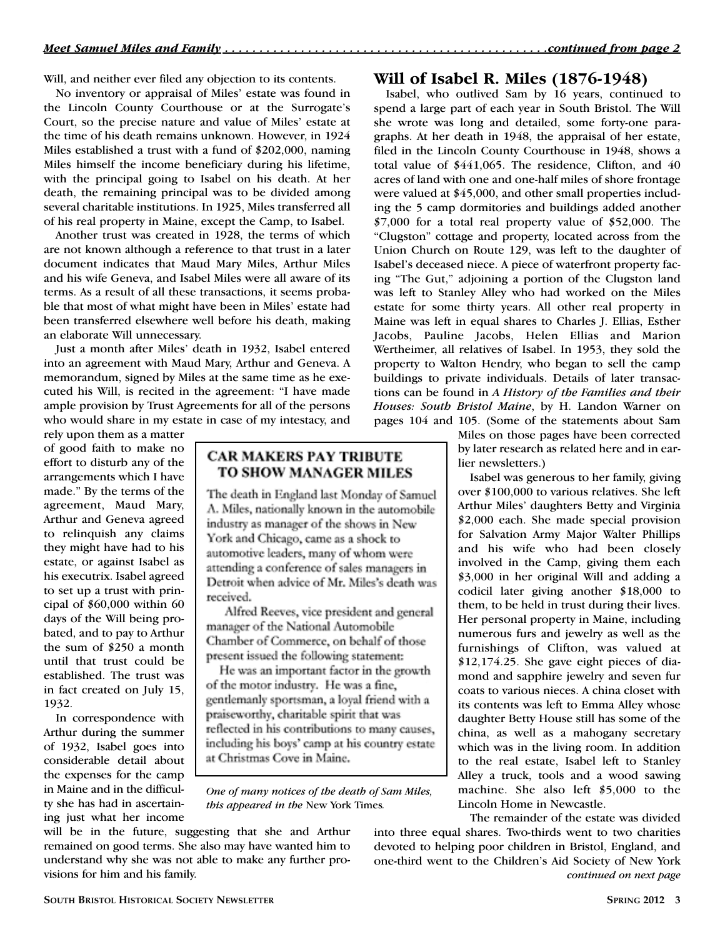Will, and neither ever filed any objection to its contents.

No inventory or appraisal of Miles' estate was found in the Lincoln County Courthouse or at the Surrogate's Court, so the precise nature and value of Miles' estate at the time of his death remains unknown. However, in 1924 Miles established a trust with a fund of \$202,000, naming Miles himself the income beneficiary during his lifetime, with the principal going to Isabel on his death. At her death, the remaining principal was to be divided among several charitable institutions. In 1925, Miles transferred all of his real property in Maine, except the Camp, to Isabel.

Another trust was created in 1928, the terms of which are not known although a reference to that trust in a later document indicates that Maud Mary Miles, Arthur Miles and his wife Geneva, and Isabel Miles were all aware of its terms. As a result of all these transactions, it seems probable that most of what might have been in Miles' estate had been transferred elsewhere well before his death, making an elaborate Will unnecessary.

Just a month after Miles' death in 1932, Isabel entered into an agreement with Maud Mary, Arthur and Geneva. A memorandum, signed by Miles at the same time as he executed his Will, is recited in the agreement: "I have made ample provision by Trust Agreements for all of the persons who would share in my estate in case of my intestacy, and

rely upon them as a matter of good faith to make no effort to disturb any of the arrangements which I have made." By the terms of the agreement, Maud Mary, Arthur and Geneva agreed to relinquish any claims they might have had to his estate, or against Isabel as his executrix. Isabel agreed to set up a trust with principal of \$60,000 within 60 days of the Will being probated, and to pay to Arthur the sum of \$250 a month until that trust could be established. The trust was in fact created on July 15, 1932.

In correspondence with Arthur during the summer of 1932, Isabel goes into considerable detail about the expenses for the camp in Maine and in the difficulty she has had in ascertaining just what her income

### **CAR MAKERS PAY TRIBUTE** TO SHOW MANAGER MILES

The death in England last Monday of Samuel A. Miles, nationally known in the automobile industry as manager of the shows in New York and Chicago, came as a shock to automotive leaders, many of whom were attending a conference of sales managers in Detroit when advice of Mr. Miles's death was received.

Alfred Reeves, vice president and general manager of the National Automobile Chamber of Commerce, on behalf of those present issued the following statement:

He was an important factor in the growth of the motor industry. He was a fine, gentlemanly sportsman, a loval friend with a praiseworthy, charitable spirit that was reflected in his contributions to many causes, including his boys' camp at his country estate at Christmas Cove in Maine.

*One of many notices of the death of Sam Miles, this appeared in the* New York Times*.*

will be in the future, suggesting that she and Arthur remained on good terms. She also may have wanted him to understand why she was not able to make any further provisions for him and his family.

#### **Will of Isabel R. Miles (1876-1948)**

Isabel, who outlived Sam by 16 years, continued to spend a large part of each year in South Bristol. The Will she wrote was long and detailed, some forty-one paragraphs. At her death in 1948, the appraisal of her estate, filed in the Lincoln County Courthouse in 1948, shows a total value of \$441,065. The residence, Clifton, and 40 acres of land with one and one-half miles of shore frontage were valued at \$45,000, and other small properties including the 5 camp dormitories and buildings added another \$7,000 for a total real property value of \$52,000. The "Clugston" cottage and property, located across from the Union Church on Route 129, was left to the daughter of Isabel's deceased niece. A piece of waterfront property facing "The Gut," adjoining a portion of the Clugston land was left to Stanley Alley who had worked on the Miles estate for some thirty years. All other real property in Maine was left in equal shares to Charles J. Ellias, Esther Jacobs, Pauline Jacobs, Helen Ellias and Marion Wertheimer, all relatives of Isabel. In 1953, they sold the property to Walton Hendry, who began to sell the camp buildings to private individuals. Details of later transactions can be found in *A History of the Families and their Houses: South Bristol Maine*, by H. Landon Warner on pages 104 and 105. (Some of the statements about Sam

Miles on those pages have been corrected by later research as related here and in earlier newsletters.)

Isabel was generous to her family, giving over \$100,000 to various relatives. She left Arthur Miles' daughters Betty and Virginia \$2,000 each. She made special provision for Salvation Army Major Walter Phillips and his wife who had been closely involved in the Camp, giving them each \$3,000 in her original Will and adding a codicil later giving another \$18,000 to them, to be held in trust during their lives. Her personal property in Maine, including numerous furs and jewelry as well as the furnishings of Clifton, was valued at \$12,174.25. She gave eight pieces of diamond and sapphire jewelry and seven fur coats to various nieces. A china closet with its contents was left to Emma Alley whose daughter Betty House still has some of the china, as well as a mahogany secretary which was in the living room. In addition to the real estate, Isabel left to Stanley Alley a truck, tools and a wood sawing machine. She also left \$5,000 to the Lincoln Home in Newcastle.

The remainder of the estate was divided

into three equal shares. Two-thirds went to two charities devoted to helping poor children in Bristol, England, and one-third went to the Children's Aid Society of New York *continued on next page*